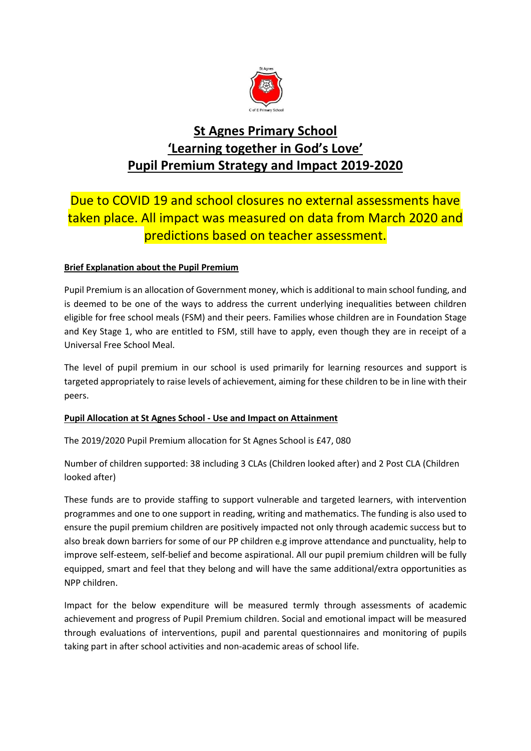

## **St Agnes Primary School 'Learning together in God's Love' Pupil Premium Strategy and Impact 2019-2020**

## Due to COVID 19 and school closures no external assessments have taken place. All impact was measured on data from March 2020 and predictions based on teacher assessment.

## **Brief Explanation about the Pupil Premium**

Pupil Premium is an allocation of Government money, which is additional to main school funding, and is deemed to be one of the ways to address the current underlying inequalities between children eligible for free school meals (FSM) and their peers. Families whose children are in Foundation Stage and Key Stage 1, who are entitled to FSM, still have to apply, even though they are in receipt of a Universal Free School Meal.

The level of pupil premium in our school is used primarily for learning resources and support is targeted appropriately to raise levels of achievement, aiming for these children to be in line with their peers.

## **Pupil Allocation at St Agnes School - Use and Impact on Attainment**

The 2019/2020 Pupil Premium allocation for St Agnes School is £47, 080

Number of children supported: 38 including 3 CLAs (Children looked after) and 2 Post CLA (Children looked after)

These funds are to provide staffing to support vulnerable and targeted learners, with intervention programmes and one to one support in reading, writing and mathematics. The funding is also used to ensure the pupil premium children are positively impacted not only through academic success but to also break down barriers for some of our PP children e.g improve attendance and punctuality, help to improve self-esteem, self-belief and become aspirational. All our pupil premium children will be fully equipped, smart and feel that they belong and will have the same additional/extra opportunities as NPP children.

Impact for the below expenditure will be measured termly through assessments of academic achievement and progress of Pupil Premium children. Social and emotional impact will be measured through evaluations of interventions, pupil and parental questionnaires and monitoring of pupils taking part in after school activities and non-academic areas of school life.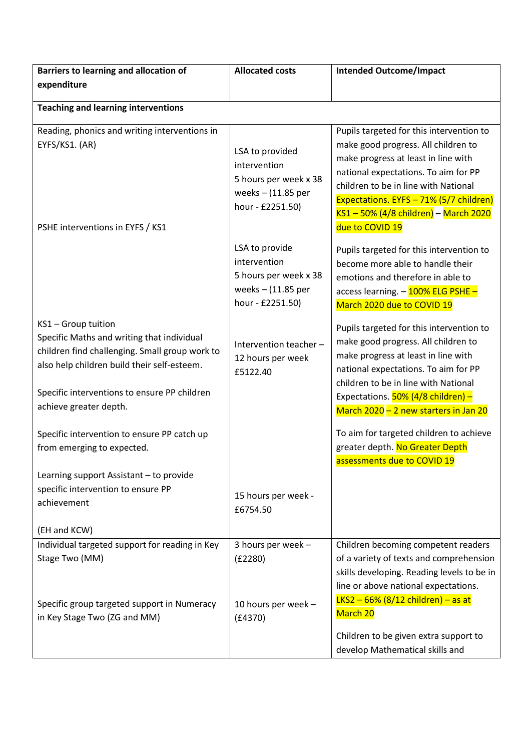| Barriers to learning and allocation of                                                                                                                             | <b>Allocated costs</b>                                                                               | <b>Intended Outcome/Impact</b>                                                                                                                                                                                                                                  |
|--------------------------------------------------------------------------------------------------------------------------------------------------------------------|------------------------------------------------------------------------------------------------------|-----------------------------------------------------------------------------------------------------------------------------------------------------------------------------------------------------------------------------------------------------------------|
| expenditure                                                                                                                                                        |                                                                                                      |                                                                                                                                                                                                                                                                 |
| <b>Teaching and learning interventions</b>                                                                                                                         |                                                                                                      |                                                                                                                                                                                                                                                                 |
| Reading, phonics and writing interventions in                                                                                                                      |                                                                                                      | Pupils targeted for this intervention to                                                                                                                                                                                                                        |
| EYFS/KS1. (AR)<br>PSHE interventions in EYFS / KS1                                                                                                                 | LSA to provided<br>intervention<br>5 hours per week x 38<br>weeks $-$ (11.85 per<br>hour - £2251.50) | make good progress. All children to<br>make progress at least in line with<br>national expectations. To aim for PP<br>children to be in line with National<br>Expectations. EYFS - 71% (5/7 children)<br>KS1-50% (4/8 children) - March 2020<br>due to COVID 19 |
|                                                                                                                                                                    | LSA to provide<br>intervention<br>5 hours per week x 38<br>weeks $-$ (11.85 per<br>hour - £2251.50)  | Pupils targeted for this intervention to<br>become more able to handle their<br>emotions and therefore in able to<br>access learning. - 100% ELG PSHE -<br>March 2020 due to COVID 19                                                                           |
| KS1 - Group tuition<br>Specific Maths and writing that individual<br>children find challenging. Small group work to<br>also help children build their self-esteem. | Intervention teacher -<br>12 hours per week<br>£5122.40                                              | Pupils targeted for this intervention to<br>make good progress. All children to<br>make progress at least in line with<br>national expectations. To aim for PP<br>children to be in line with National                                                          |
| Specific interventions to ensure PP children<br>achieve greater depth.                                                                                             |                                                                                                      | Expectations. 50% (4/8 children) -<br>March 2020 - 2 new starters in Jan 20                                                                                                                                                                                     |
| Specific intervention to ensure PP catch up<br>from emerging to expected.                                                                                          |                                                                                                      | To aim for targeted children to achieve<br>greater depth. No Greater Depth<br>assessments due to COVID 19                                                                                                                                                       |
| Learning support Assistant - to provide                                                                                                                            |                                                                                                      |                                                                                                                                                                                                                                                                 |
| specific intervention to ensure PP<br>achievement                                                                                                                  | 15 hours per week -<br>£6754.50                                                                      |                                                                                                                                                                                                                                                                 |
| (EH and KCW)                                                                                                                                                       |                                                                                                      |                                                                                                                                                                                                                                                                 |
| Individual targeted support for reading in Key<br>Stage Two (MM)                                                                                                   | 3 hours per week -<br>(E2280)                                                                        | Children becoming competent readers<br>of a variety of texts and comprehension<br>skills developing. Reading levels to be in<br>line or above national expectations.                                                                                            |
| Specific group targeted support in Numeracy<br>in Key Stage Two (ZG and MM)                                                                                        | 10 hours per week -<br>(E4370)                                                                       | $LKS2 - 66% (8/12 children) - as at$<br>March 20<br>Children to be given extra support to                                                                                                                                                                       |
|                                                                                                                                                                    |                                                                                                      | develop Mathematical skills and                                                                                                                                                                                                                                 |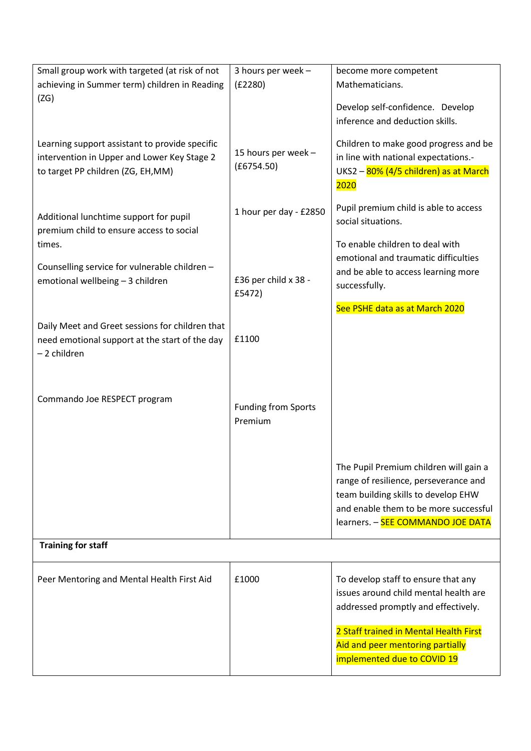| Small group work with targeted (at risk of not  | 3 hours per week -         | become more competent                  |
|-------------------------------------------------|----------------------------|----------------------------------------|
| achieving in Summer term) children in Reading   | (E2280)                    | Mathematicians.                        |
| (ZG)                                            |                            |                                        |
|                                                 |                            | Develop self-confidence. Develop       |
|                                                 |                            | inference and deduction skills.        |
| Learning support assistant to provide specific  |                            | Children to make good progress and be  |
| intervention in Upper and Lower Key Stage 2     | 15 hours per week -        | in line with national expectations.-   |
| to target PP children (ZG, EH, MM)              | (E6754.50)                 | UKS2 - 80% (4/5 children) as at March  |
|                                                 |                            | <b>2020</b>                            |
|                                                 |                            |                                        |
| Additional lunchtime support for pupil          | 1 hour per day - £2850     | Pupil premium child is able to access  |
| premium child to ensure access to social        |                            | social situations.                     |
| times.                                          |                            | To enable children to deal with        |
|                                                 |                            | emotional and traumatic difficulties   |
| Counselling service for vulnerable children -   |                            | and be able to access learning more    |
| emotional wellbeing - 3 children                | £36 per child x 38 -       | successfully.                          |
|                                                 | £5472)                     |                                        |
|                                                 |                            | See PSHE data as at March 2020         |
| Daily Meet and Greet sessions for children that |                            |                                        |
| need emotional support at the start of the day  | £1100                      |                                        |
| -2 children                                     |                            |                                        |
|                                                 |                            |                                        |
|                                                 |                            |                                        |
| Commando Joe RESPECT program                    | <b>Funding from Sports</b> |                                        |
|                                                 | Premium                    |                                        |
|                                                 |                            |                                        |
|                                                 |                            |                                        |
|                                                 |                            | The Pupil Premium children will gain a |
|                                                 |                            | range of resilience, perseverance and  |
|                                                 |                            | team building skills to develop EHW    |
|                                                 |                            | and enable them to be more successful  |
|                                                 |                            | learners. - SEE COMMANDO JOE DATA      |
|                                                 |                            |                                        |
| <b>Training for staff</b>                       |                            |                                        |
|                                                 |                            |                                        |
| Peer Mentoring and Mental Health First Aid      | £1000                      | To develop staff to ensure that any    |
|                                                 |                            | issues around child mental health are  |
|                                                 |                            | addressed promptly and effectively.    |
|                                                 |                            | 2 Staff trained in Mental Health First |
|                                                 |                            | Aid and peer mentoring partially       |
|                                                 |                            | implemented due to COVID 19            |